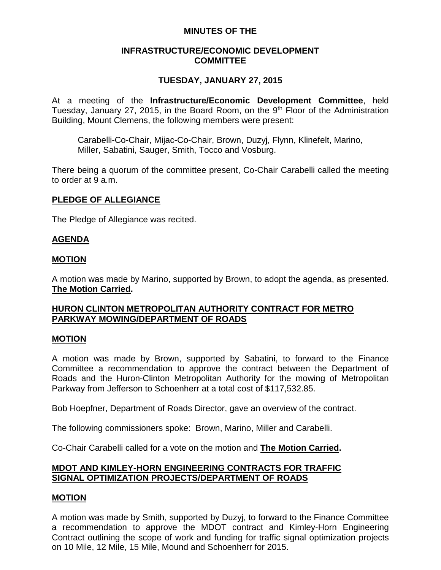## **MINUTES OF THE**

## **INFRASTRUCTURE/ECONOMIC DEVELOPMENT COMMITTEE**

## **TUESDAY, JANUARY 27, 2015**

At a meeting of the **Infrastructure/Economic Development Committee**, held Tuesday, January 27, 2015, in the Board Room, on the 9<sup>th</sup> Floor of the Administration Building, Mount Clemens, the following members were present:

Carabelli-Co-Chair, Mijac-Co-Chair, Brown, Duzyj, Flynn, Klinefelt, Marino, Miller, Sabatini, Sauger, Smith, Tocco and Vosburg.

There being a quorum of the committee present, Co-Chair Carabelli called the meeting to order at 9 a.m.

## **PLEDGE OF ALLEGIANCE**

The Pledge of Allegiance was recited.

## **AGENDA**

#### **MOTION**

A motion was made by Marino, supported by Brown, to adopt the agenda, as presented. **The Motion Carried.**

## **HURON CLINTON METROPOLITAN AUTHORITY CONTRACT FOR METRO PARKWAY MOWING/DEPARTMENT OF ROADS**

#### **MOTION**

A motion was made by Brown, supported by Sabatini, to forward to the Finance Committee a recommendation to approve the contract between the Department of Roads and the Huron-Clinton Metropolitan Authority for the mowing of Metropolitan Parkway from Jefferson to Schoenherr at a total cost of \$117,532.85.

Bob Hoepfner, Department of Roads Director, gave an overview of the contract.

The following commissioners spoke: Brown, Marino, Miller and Carabelli.

Co-Chair Carabelli called for a vote on the motion and **The Motion Carried.**

# **MDOT AND KIMLEY-HORN ENGINEERING CONTRACTS FOR TRAFFIC SIGNAL OPTIMIZATION PROJECTS/DEPARTMENT OF ROADS**

## **MOTION**

A motion was made by Smith, supported by Duzyj, to forward to the Finance Committee a recommendation to approve the MDOT contract and Kimley-Horn Engineering Contract outlining the scope of work and funding for traffic signal optimization projects on 10 Mile, 12 Mile, 15 Mile, Mound and Schoenherr for 2015.